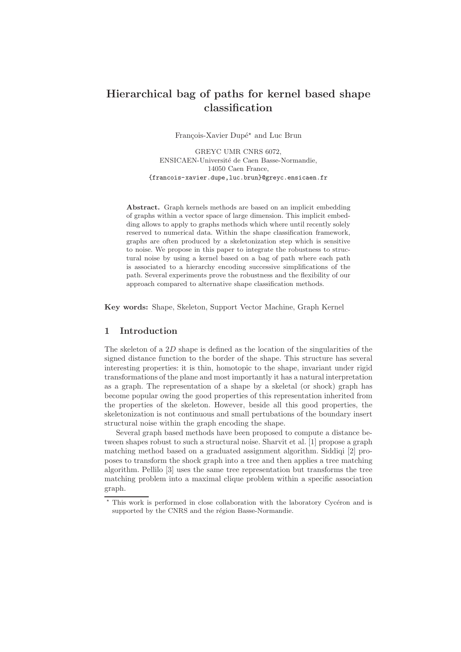# Hierarchical bag of paths for kernel based shape classification

François-Xavier Dupé<sup>\*</sup> and Luc Brun

GREYC UMR CNRS 6072, ENSICAEN-Universit´e de Caen Basse-Normandie, 14050 Caen France, {francois-xavier.dupe,luc.brun}@greyc.ensicaen.fr

Abstract. Graph kernels methods are based on an implicit embedding of graphs within a vector space of large dimension. This implicit embedding allows to apply to graphs methods which where until recently solely reserved to numerical data. Within the shape classification framework, graphs are often produced by a skeletonization step which is sensitive to noise. We propose in this paper to integrate the robustness to structural noise by using a kernel based on a bag of path where each path is associated to a hierarchy encoding successive simplifications of the path. Several experiments prove the robustness and the flexibility of our approach compared to alternative shape classification methods.

Key words: Shape, Skeleton, Support Vector Machine, Graph Kernel

# 1 Introduction

The skeleton of a 2D shape is defined as the location of the singularities of the signed distance function to the border of the shape. This structure has several interesting properties: it is thin, homotopic to the shape, invariant under rigid transformations of the plane and most importantly it has a natural interpretation as a graph. The representation of a shape by a skeletal (or shock) graph has become popular owing the good properties of this representation inherited from the properties of the skeleton. However, beside all this good properties, the skeletonization is not continuous and small pertubations of the boundary insert structural noise within the graph encoding the shape.

Several graph based methods have been proposed to compute a distance between shapes robust to such a structural noise. Sharvit et al. [1] propose a graph matching method based on a graduated assignment algorithm. Siddiqi [2] proposes to transform the shock graph into a tree and then applies a tree matching algorithm. Pellilo [3] uses the same tree representation but transforms the tree matching problem into a maximal clique problem within a specific association graph.

<sup>\*</sup> This work is performed in close collaboration with the laboratory Cycéron and is supported by the CNRS and the région Basse-Normandie.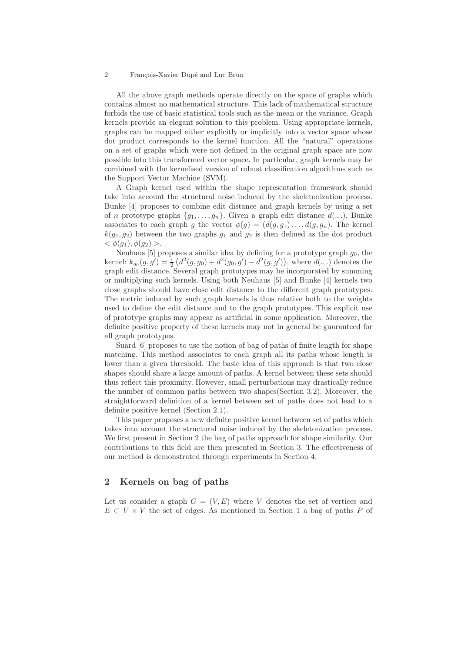All the above graph methods operate directly on the space of graphs which contains almost no mathematical structure. This lack of mathematical structure forbids the use of basic statistical tools such as the mean or the variance. Graph kernels provide an elegant solution to this problem. Using appropriate kernels, graphs can be mapped either explicitly or implicitly into a vector space whose dot product corresponds to the kernel function. All the "natural" operations on a set of graphs which were not defined in the original graph space are now possible into this transformed vector space. In particular, graph kernels may be combined with the kernelised version of robust classification algorithms such as the Support Vector Machine (SVM).

A Graph kernel used within the shape representation framework should take into account the structural noise induced by the skeletonization process. Bunke [4] proposes to combine edit distance and graph kernels by using a set of n prototype graphs  $\{g_1, \ldots, g_n\}$ . Given a graph edit distance  $d(\ldots)$ , Bunke associates to each graph g the vector  $\phi(g) = (d(g, g_1) \dots, d(g, g_n))$ . The kernel  $k(q_1, q_2)$  between the two graphs  $q_1$  and  $q_2$  is then defined as the dot product  $<\phi(q_1), \phi(q_2)>.$ 

Neuhaus  $[5]$  proposes a similar idea by defining for a prototype graph  $g_0$ , the kernel:  $k_{g_0}(g, g') = \frac{1}{2} (d^2(g, g_0) + d^2(g_0, g') - d^2(g, g'))$ , where  $d(., .)$  denotes the graph edit distance. Several graph prototypes may be incorporated by summing or multiplying such kernels. Using both Neuhaus [5] and Bunke [4] kernels two close graphs should have close edit distance to the different graph prototypes. The metric induced by such graph kernels is thus relative both to the weights used to define the edit distance and to the graph prototypes. This explicit use of prototype graphs may appear as artificial in some application. Moreover, the definite positive property of these kernels may not in general be guaranteed for all graph prototypes.

Suard [6] proposes to use the notion of bag of paths of finite length for shape matching. This method associates to each graph all its paths whose length is lower than a given threshold. The basic idea of this approach is that two close shapes should share a large amount of paths. A kernel between these sets should thus reflect this proximity. However, small perturbations may drastically reduce the number of common paths between two shapes(Section 3.2). Moreover, the straightforward definition of a kernel between set of paths does not lead to a definite positive kernel (Section 2.1).

This paper proposes a new definite positive kernel between set of paths which takes into account the structural noise induced by the skeletonization process. We first present in Section 2 the bag of paths approach for shape similarity. Our contributions to this field are then presented in Section 3. The effectiveness of our method is demonstrated through experiments in Section 4.

## 2 Kernels on bag of paths

Let us consider a graph  $G = (V, E)$  where V denotes the set of vertices and  $E \subset V \times V$  the set of edges. As mentioned in Section 1 a bag of paths P of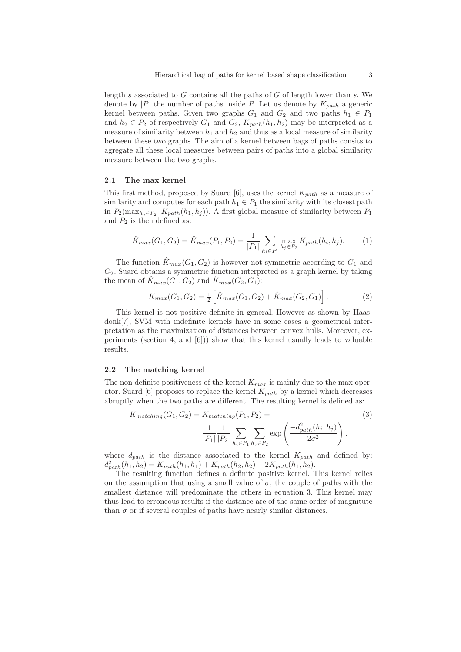length s associated to  $G$  contains all the paths of  $G$  of length lower than s. We denote by |P| the number of paths inside P. Let us denote by  $K_{path}$  a generic kernel between paths. Given two graphs  $G_1$  and  $G_2$  and two paths  $h_1 \in P_1$ and  $h_2 \in P_2$  of respectively  $G_1$  and  $G_2$ ,  $K_{path}(h_1, h_2)$  may be interpreted as a measure of similarity between  $h_1$  and  $h_2$  and thus as a local measure of similarity between these two graphs. The aim of a kernel between bags of paths consits to agregate all these local measures between pairs of paths into a global similarity measure between the two graphs.

### 2.1 The max kernel

This first method, proposed by Suard [6], uses the kernel  $K_{nath}$  as a measure of similarity and computes for each path  $h_1 \in P_1$  the similarity with its closest path in  $P_2(\max_{h_i\in P_2} K_{path}(h_1, h_i))$ . A first global measure of similarity between  $P_1$ and  $P_2$  is then defined as:

$$
\hat{K}_{max}(G_1, G_2) = \hat{K}_{max}(P_1, P_2) = \frac{1}{|P_1|} \sum_{h_i \in P_1} \max_{h_j \in P_2} K_{path}(h_i, h_j). \tag{1}
$$

The function  $\hat{K}_{max}(G_1, G_2)$  is however not symmetric according to  $G_1$  and  $G_2$ . Suard obtains a symmetric function interpreted as a graph kernel by taking the mean of  $\hat{K}_{max}(G_1, G_2)$  and  $\hat{K}_{max}(G_2, G_1)$ :

$$
K_{max}(G_1, G_2) = \frac{1}{2} \left[ \hat{K}_{max}(G_1, G_2) + \hat{K}_{max}(G_2, G_1) \right]. \tag{2}
$$

This kernel is not positive definite in general. However as shown by Haasdonk[7], SVM with indefinite kernels have in some cases a geometrical interpretation as the maximization of distances between convex hulls. Moreover, experiments (section 4, and  $[6]$ )) show that this kernel usually leads to valuable results.

### 2.2 The matching kernel

The non definite positiveness of the kernel  $K_{max}$  is mainly due to the max operator. Suard [6] proposes to replace the kernel  $K_{path}$  by a kernel which decreases abruptly when the two paths are different. The resulting kernel is defined as:

$$
K_{matching}(G_1, G_2) = K_{matching}(P_1, P_2) =
$$
\n
$$
\frac{1}{|P_1|} \frac{1}{|P_2|} \sum_{h_i \in P_1} \sum_{h_j \in P_2} \exp\left(\frac{-d_{path}^2(h_i, h_j)}{2\sigma^2}\right).
$$
\n(3)

where  $d_{path}$  is the distance associated to the kernel  $K_{path}$  and defined by:  $d_{path}^2(h_1, h_2) = K_{path}(h_1, h_1) + K_{path}(h_2, h_2) - 2K_{path}(h_1, h_2).$ 

The resulting function defines a definite positive kernel. This kernel relies on the assumption that using a small value of  $\sigma$ , the couple of paths with the smallest distance will predominate the others in equation 3. This kernel may thus lead to erroneous results if the distance are of the same order of magnitute than  $\sigma$  or if several couples of paths have nearly similar distances.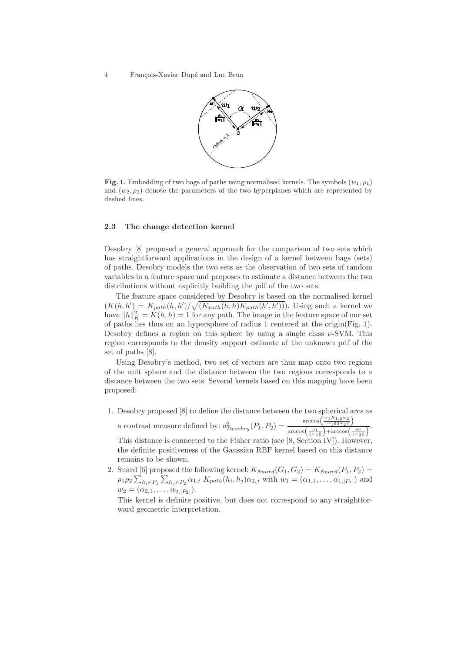

Fig. 1. Embedding of two bags of paths using normalised kernels. The symbols  $(w_1, \rho_1)$ and  $(w_2, \rho_2)$  denote the parameters of the two hyperplanes which are represented by dashed lines.

### 2.3 The change detection kernel

Desobry [8] proposed a general approach for the comparison of two sets which has straightforward applications in the design of a kernel between bags (sets) of paths. Desobry models the two sets as the observation of two sets of random variables in a feature space and proposes to estimate a distance between the two distributions without explicitly building the pdf of the two sets.

The feature space considered by Desobry is based on the normalised kernel  $(K(h, h') = K_{path}(h, h') / \sqrt{(K_{path}(h, h) K_{path}(h', h'))})$ . Using such a kernel we have  $||h||_K^2 = K(h, h) = 1$  for any path. The image in the feature space of our set of paths lies thus on an hypersphere of radius 1 centered at the origin(Fig. 1). Desobry defines a region on this sphere by using a single class  $\nu$ -SVM. This region corresponds to the density support estimate of the unknown pdf of the set of paths [8].

Using Desobry's method, two set of vectors are thus map onto two regions of the unit sphere and the distance between the two regions corresponds to a distance between the two sets. Several kernels based on this mapping have been proposed:

1. Desobry proposed [8] to define the distance between the two spherical arcs as a contrast measure defined by:  $d_{Desobry}^2(P_1, P_2) =$  $\arccos\left(\frac{w_1K_{1,2}w_2}{\|w_1\|\|w_2\|}\right)$ 

 $\frac{\sqrt{\|w_1\|\|w_2\|}}{\arccos\left(\frac{\rho_1}{\|w_1\|}\right)+\arccos\left(\frac{\rho_2}{\|w_2\|}\right)}.$ This distance is connected to the Fisher ratio (see [8, Section IV]). However, the definite positiveness of the Gaussian RBF kernel based on this distance remains to be shown.

2. Suard [6] proposed the following kernel:  $K_{Suard}(G_1, G_2) = K_{Suard}(P_1, P_2) =$  $\rho_1 \rho_2 \sum_{h_i \in P_1} \sum_{h_j \in P_2} \alpha_{1,i} K_{path}(h_i, h_j) \alpha_{2,j}$  with  $w_1 = (\alpha_{1,1}, \ldots, \alpha_{1,|P_1|})$  and  $w_2 = (\alpha_{2,1}, \ldots, \alpha_{2,|P_2|}).$ 

This kernel is definite positive, but does not correspond to any straightforward geometric interpretation.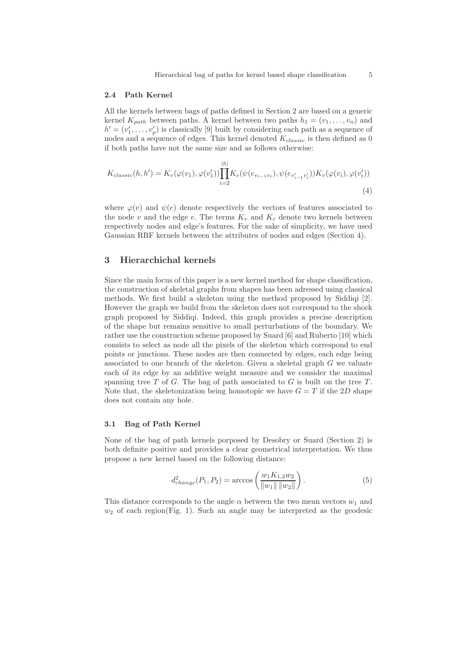#### 2.4 Path Kernel

All the kernels between bags of paths defined in Section 2 are based on a generic kernel  $K_{path}$  between paths. A kernel between two paths  $h_1 = (v_1, \ldots, v_n)$  and  $h' = (v'_1, \ldots, v'_p)$  is classically [9] built by considering each path as a sequence of nodes and a sequence of edges. This kernel denoted  $K_{classic}$  is then defined as 0 if both paths have not the same size and as follows otherwise:

$$
K_{classic}(h, h') = K_v(\varphi(v_1), \varphi(v'_1)) \prod_{i=2}^{|h|} K_e(\psi(e_{v_{i-1}v_i}), \psi(e_{v'_{i-1}v'_i})) K_v(\varphi(v_i), \varphi(v'_i))
$$
\n(4)

where  $\varphi(v)$  and  $\psi(e)$  denote respectively the vectors of features associated to the node v and the edge e. The terms  $K_v$  and  $K_e$  denote two kernels between respectively nodes and edge's features. For the sake of simplicity, we have used Gaussian RBF kernels between the attributes of nodes and edges (Section 4).

# 3 Hierarchichal kernels

Since the main focus of this paper is a new kernel method for shape classification, the construction of skeletal graphs from shapes has been adressed using classical methods. We first build a skeleton using the method proposed by Siddiqi [2]. However the graph we build from the skeleton does not correspond to the shock graph proposed by Siddiqi. Indeed, this graph provides a precise description of the shape but remains sensitive to small perturbations of the boundary. We rather use the construction scheme proposed by Suard [6] and Ruberto [10] which consists to select as node all the pixels of the skeleton which correspond to end points or junctions. These nodes are then connected by edges, each edge being associated to one branch of the skeleton. Given a skeletal graph G we valuate each of its edge by an additive weight measure and we consider the maximal spanning tree  $T$  of  $G$ . The bag of path associated to  $G$  is built on the tree  $T$ . Note that, the skeletonization being homotopic we have  $G = T$  if the 2D shape does not contain any hole.

### 3.1 Bag of Path Kernel

None of the bag of path kernels porposed by Desobry or Suard (Section 2) is both definite positive and provides a clear geometrical interpretation. We thus propose a new kernel based on the following distance:

$$
d_{change}^2(P_1, P_2) = \arccos\left(\frac{w_1 K_{1,2} w_2}{\|w_1\| \|w_2\|}\right). \tag{5}
$$

This distance corresponds to the angle  $\alpha$  between the two mean vectors  $w_1$  and  $w_2$  of each region(Fig. 1). Such an angle may be interpreted as the geodesic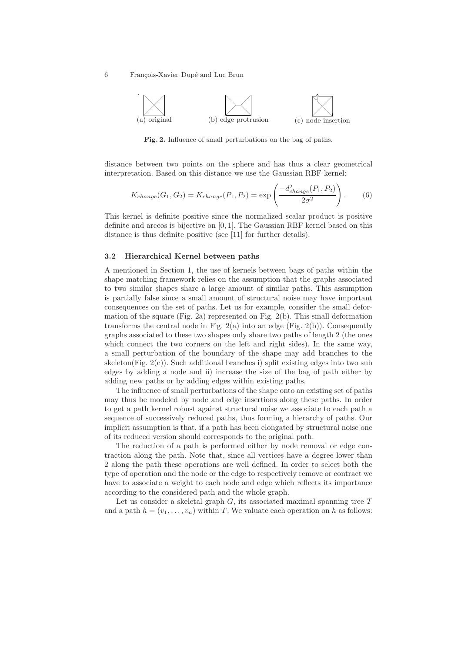

Fig. 2. Influence of small perturbations on the bag of paths.

distance between two points on the sphere and has thus a clear geometrical interpretation. Based on this distance we use the Gaussian RBF kernel:

$$
K_{change}(G_1, G_2) = K_{change}(P_1, P_2) = \exp\left(\frac{-d_{change}^2(P_1, P_2)}{2\sigma^2}\right). \tag{6}
$$

This kernel is definite positive since the normalized scalar product is positive definite and arccos is bijective on [0, 1]. The Gaussian RBF kernel based on this distance is thus definite positive (see [11] for further details).

### 3.2 Hierarchical Kernel between paths

A mentioned in Section 1, the use of kernels between bags of paths within the shape matching framework relies on the assumption that the graphs associated to two similar shapes share a large amount of similar paths. This assumption is partially false since a small amount of structural noise may have important consequences on the set of paths. Let us for example, consider the small deformation of the square (Fig. 2a) represented on Fig. 2(b). This small deformation transforms the central node in Fig.  $2(a)$  into an edge (Fig.  $2(b)$ ). Consequently graphs associated to these two shapes only share two paths of length 2 (the ones which connect the two corners on the left and right sides). In the same way, a small perturbation of the boundary of the shape may add branches to the skeleton(Fig.  $2(c)$ ). Such additional branches i) split existing edges into two sub edges by adding a node and ii) increase the size of the bag of path either by adding new paths or by adding edges within existing paths.

The influence of small perturbations of the shape onto an existing set of paths may thus be modeled by node and edge insertions along these paths. In order to get a path kernel robust against structural noise we associate to each path a sequence of successively reduced paths, thus forming a hierarchy of paths. Our implicit assumption is that, if a path has been elongated by structural noise one of its reduced version should corresponds to the original path.

The reduction of a path is performed either by node removal or edge contraction along the path. Note that, since all vertices have a degree lower than 2 along the path these operations are well defined. In order to select both the type of operation and the node or the edge to respectively remove or contract we have to associate a weight to each node and edge which reflects its importance according to the considered path and the whole graph.

Let us consider a skeletal graph  $G$ , its associated maximal spanning tree  $T$ and a path  $h = (v_1, \ldots, v_n)$  within T. We valuate each operation on h as follows: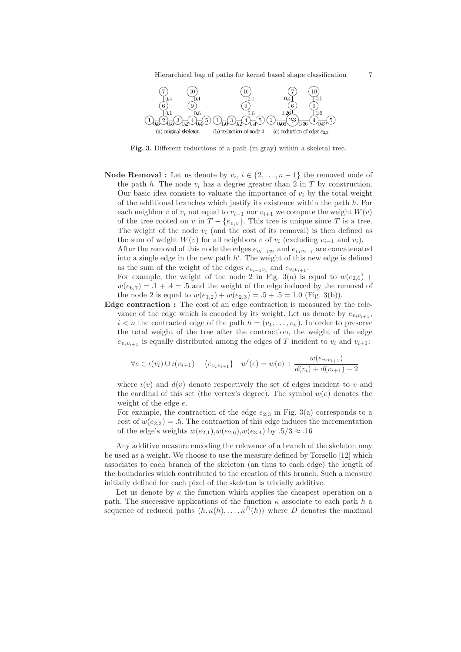Hierarchical bag of paths for kernel based shape classification 7



Fig. 3. Different reductions of a path (in gray) within a skeletal tree.

**Node Removal :** Let us denote by  $v_i, i \in \{2, ..., n-1\}$  the removed node of the path h. The node  $v_i$  has a degree greater than 2 in T by construction. Our basic idea consists to valuate the importance of  $v_i$  by the total weight of the additional branches which justify its existence within the path  $h$ . For each neighbor v of  $v_i$  not equal to  $v_{i-1}$  nor  $v_{i+1}$  we compute the weight  $W(v)$ of the tree rooted on v in  $T - \{e_{v_i v}\}\$ . This tree is unique since T is a tree. The weight of the node  $v_i$  (and the cost of its removal) is then defined as the sum of weight  $W(v)$  for all neighbors v of  $v_i$  (excluding  $v_{i-1}$  and  $v_i$ ).

After the removal of this node the edges  $e_{v_{i-1}v_i}$  and  $e_{v_iv_{i+1}}$  are concatenated into a single edge in the new path  $h'$ . The weight of this new edge is defined as the sum of the weight of the edges  $e_{v_{i-1}v_i}$  and  $e_{v_i v_{i+1}}$ .

For example, the weight of the node 2 in Fig. 3(a) is equal to  $w(e_{2,6})$  +  $w(e_{6,7}) = .1 + .4 = .5$  and the weight of the edge induced by the removal of the node 2 is equal to  $w(e_{1,2}) + w(e_{2,3}) = .5 + .5 = 1.0$  (Fig. 3(b)).

Edge contraction : The cost of an edge contraction is measured by the relevance of the edge which is encoded by its weight. Let us denote by  $e_{v_i v_{i+1}}$ ,  $i < n$  the contracted edge of the path  $h = (v_1, \ldots, v_n)$ . In order to preserve the total weight of the tree after the contraction, the weight of the edge  $e_{v_i v_{i+1}}$  is equally distributed among the edges of T incident to  $v_i$  and  $v_{i+1}$ :

$$
\forall e \in \iota(v_i) \cup \iota(v_{i+1}) - \{e_{v_i v_{i+1}}\} \quad w'(e) = w(e) + \frac{w(e_{v_i v_{i+1}})}{d(v_i) + d(v_{i+1}) - 2}
$$

where  $\iota(v)$  and  $d(v)$  denote respectively the set of edges incident to v and the cardinal of this set (the vertex's degree). The symbol  $w(e)$  denotes the weight of the edge e.

For example, the contraction of the edge  $e_{2,3}$  in Fig. 3(a) corresponds to a cost of  $w(e_{2,3}) = .5$ . The contraction of this edge induces the incrementation of the edge's weights  $w(e_{2,1}), w(e_{2,6}), w(e_{3,4})$  by  $.5/3 \approx .16$ 

Any additive measure encoding the relevance of a branch of the skeleton may be used as a weight. We choose to use the measure defined by Torsello [12] which associates to each branch of the skeleton (an thus to each edge) the length of the boundaries which contributed to the creation of this branch. Such a measure initially defined for each pixel of the skeleton is trivially additive.

Let us denote by  $\kappa$  the function which applies the cheapest operation on a path. The successive applications of the function  $\kappa$  associate to each path h a sequence of reduced paths  $(h, \kappa(h), \ldots, \kappa^D(h))$  where D denotes the maximal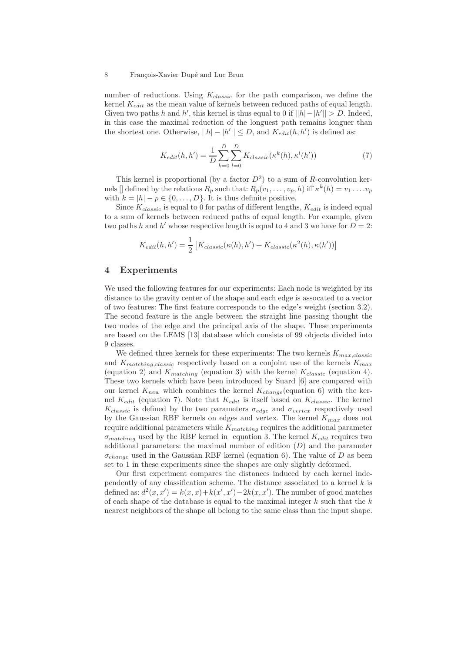number of reductions. Using  $K_{classic}$  for the path comparison, we define the kernel  $K_{edit}$  as the mean value of kernels between reduced paths of equal length. Given two paths h and h', this kernel is thus equal to 0 if  $||h|-|h'|| > D$ . Indeed, in this case the maximal reduction of the longuest path remains longuer than the shortest one. Otherwise,  $||h| - |h'|| \leq D$ , and  $K_{edit}(h, h')$  is defined as:

$$
K_{edit}(h, h') = \frac{1}{D} \sum_{k=0}^{D} \sum_{l=0}^{D} K_{classic}(\kappa^k(h), \kappa^l(h')) \tag{7}
$$

This kernel is proportional (by a factor  $D^2$ ) to a sum of R-convolution kernels [] defined by the relations  $R_p$  such that:  $R_p(v_1, \ldots, v_p, h)$  iff  $\kappa^k(h) = v_1 \ldots v_p$ with  $k = |h| - p \in \{0, \ldots, D\}$ . It is thus definite positive.

Since  $K_{classic}$  is equal to 0 for paths of different lengths,  $K_{edit}$  is indeed equal to a sum of kernels between reduced paths of equal length. For example, given two paths h and h' whose respective length is equal to 4 and 3 we have for  $D = 2$ :

$$
K_{edit}(h, h') = \frac{1}{2} \left[ K_{classic}(\kappa(h), h') + K_{classic}(\kappa^2(h), \kappa(h')) \right]
$$

# 4 Experiments

We used the following features for our experiments: Each node is weighted by its distance to the gravity center of the shape and each edge is assocated to a vector of two features: The first feature corresponds to the edge's weight (section 3.2). The second feature is the angle between the straight line passing thought the two nodes of the edge and the principal axis of the shape. These experiments are based on the LEMS [13] database which consists of 99 objects divided into 9 classes.

We defined three kernels for these experiments: The two kernels  $K_{max,classic}$ and  $K_{matching, classic}$  respectively based on a conjoint use of the kernels  $K_{max}$ (equation 2) and  $K_{matching}$  (equation 3) with the kernel  $K_{classic}$  (equation 4). These two kernels which have been introduced by Suard [6] are compared with our kernel  $K_{new}$  which combines the kernel  $K_{change}$  (equation 6) with the kernel  $K_{edit}$  (equation 7). Note that  $K_{edit}$  is itself based on  $K_{classic}$ . The kernel  $K_{classic}$  is defined by the two parameters  $\sigma_{edge}$  and  $\sigma_{vertex}$  respectively used by the Gaussian RBF kernels on edges and vertex. The kernel  $K_{max}$  does not require additional parameters while  $K_{matching}$  requires the additional parameter  $\sigma_{matching}$  used by the RBF kernel in equation 3. The kernel  $K_{edit}$  requires two additional parameters: the maximal number of edition  $(D)$  and the parameter  $\sigma_{change}$  used in the Gaussian RBF kernel (equation 6). The value of D as been set to 1 in these experiments since the shapes are only slightly deformed.

Our first experiment compares the distances induced by each kernel independently of any classification scheme. The distance associated to a kernel  $k$  is defined as:  $d^2(x, x') = k(x, x) + k(x', x') - 2k(x, x')$ . The number of good matches of each shape of the database is equal to the maximal integer  $k$  such that the  $k$ nearest neighbors of the shape all belong to the same class than the input shape.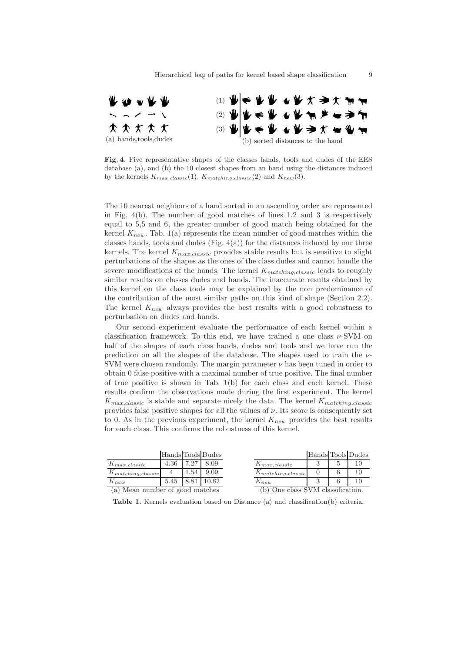

Fig. 4. Five representative shapes of the classes hands, tools and dudes of the EES database (a), and (b) the 10 closest shapes from an hand using the distances induced by the kernels  $K_{max, classic}(1)$ ,  $K_{matching, classic}(2)$  and  $K_{new}(3)$ .

The 10 nearest neighbors of a hand sorted in an ascending order are represented in Fig. 4(b). The number of good matches of lines 1,2 and 3 is respectively equal to 5,5 and 6, the greater number of good match being obtained for the kernel  $K_{new}$ . Tab. 1(a) represents the mean number of good matches within the classes hands, tools and dudes (Fig.  $4(a)$ ) for the distances induced by our three kernels. The kernel  $K_{max,classic}$  provides stable results but is sensitive to slight perturbations of the shapes as the ones of the class dudes and cannot handle the severe modifications of the hands. The kernel  $K_{matching, classic}$  leads to roughly similar results on classes dudes and hands. The inaccurate results obtained by this kernel on the class tools may be explained by the non predominance of the contribution of the most similar paths on this kind of shape (Section 2.2). The kernel  $K_{new}$  always provides the best results with a good robustness to perturbation on dudes and hands.

Our second experiment evaluate the performance of each kernel within a classification framework. To this end, we have trained a one class  $\nu$ -SVM on half of the shapes of each class hands, dudes and tools and we have run the prediction on all the shapes of the database. The shapes used to train the ν-SVM were chosen randomly. The margin parameter  $\nu$  has been tuned in order to obtain 0 false positive with a maximal number of true positive. The final number of true positive is shown in Tab. 1(b) for each class and each kernel. These results confirm the observations made during the first experiment. The kernel  $K_{max,classic}$  is stable and separate nicely the data. The kernel  $K_{matching, classic}$ provides false positive shapes for all the values of  $\nu$ . Its score is consequently set to 0. As in the previous experiment, the kernel  $K_{new}$  provides the best results for each class. This confirms the robustness of this kernel.

|                                 |      |      | Hands Tools Dudes |                         | Hands Tools Dudes                 |  |    |  |
|---------------------------------|------|------|-------------------|-------------------------|-----------------------------------|--|----|--|
| $K_{max, classic}$              | 4.36 | 7.27 | 8.09              | $\Lambda_{max.classic}$ |                                   |  | 10 |  |
| $K_{matching, classic}$         | 4    | . 54 | 9.09              | $K_{matching, classic}$ |                                   |  | 10 |  |
| $K_{new}$                       | 5.45 |      | 0.82              | $I\Lambda$ new          |                                   |  |    |  |
| (a) Mean number of good matches |      |      |                   |                         | (b) One class SVM classification. |  |    |  |

Table 1. Kernels evaluation based on Distance (a) and classification(b) criteria.